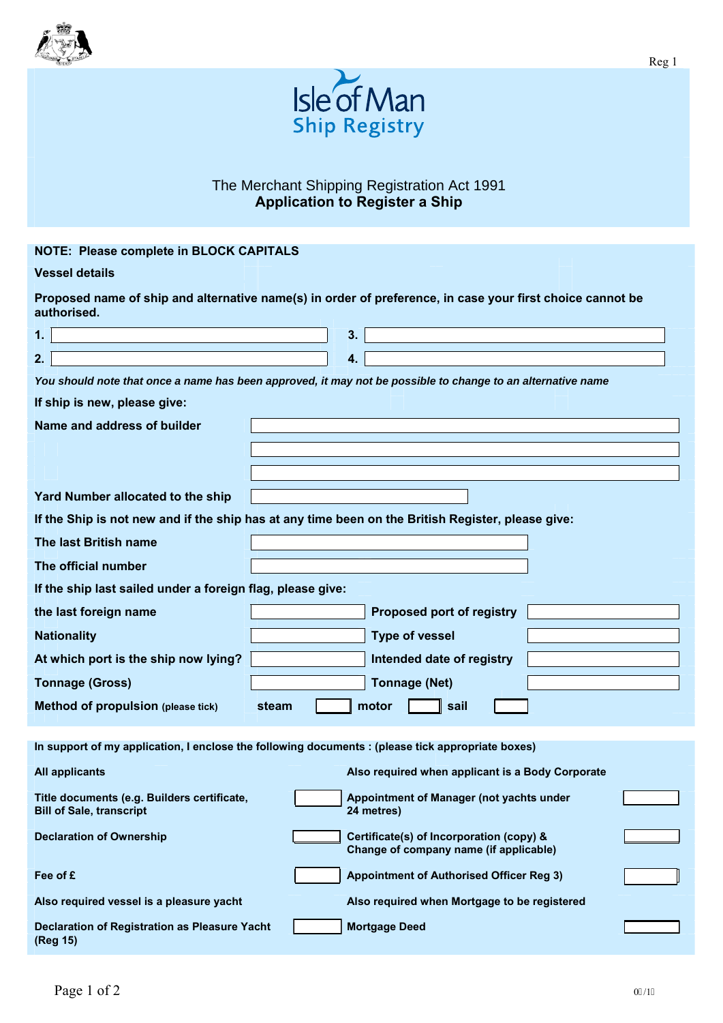



## The Merchant Shipping Registration Act 1991 **Application to Register a Ship**

## **NOTE: Please complete in BLOCK CAPITALS**

## **Vessel details**

| Proposed name of ship and alternative name(s) in order of preference, in case your first choice cannot be<br>authorised. |  |  |  |  |  |
|--------------------------------------------------------------------------------------------------------------------------|--|--|--|--|--|
|                                                                                                                          |  |  |  |  |  |

| 2.                                                                                                          |                                                                                                   |       | 4. |                                                                                    |  |  |  |
|-------------------------------------------------------------------------------------------------------------|---------------------------------------------------------------------------------------------------|-------|----|------------------------------------------------------------------------------------|--|--|--|
| You should note that once a name has been approved, it may not be possible to change to an alternative name |                                                                                                   |       |    |                                                                                    |  |  |  |
| If ship is new, please give:                                                                                |                                                                                                   |       |    |                                                                                    |  |  |  |
| Name and address of builder                                                                                 |                                                                                                   |       |    |                                                                                    |  |  |  |
|                                                                                                             |                                                                                                   |       |    |                                                                                    |  |  |  |
|                                                                                                             |                                                                                                   |       |    |                                                                                    |  |  |  |
|                                                                                                             | Yard Number allocated to the ship                                                                 |       |    |                                                                                    |  |  |  |
|                                                                                                             | If the Ship is not new and if the ship has at any time been on the British Register, please give: |       |    |                                                                                    |  |  |  |
|                                                                                                             | The last British name                                                                             |       |    |                                                                                    |  |  |  |
|                                                                                                             | The official number                                                                               |       |    |                                                                                    |  |  |  |
|                                                                                                             | If the ship last sailed under a foreign flag, please give:                                        |       |    |                                                                                    |  |  |  |
|                                                                                                             | the last foreign name                                                                             |       |    | Proposed port of registry                                                          |  |  |  |
|                                                                                                             | <b>Nationality</b>                                                                                |       |    | <b>Type of vessel</b>                                                              |  |  |  |
|                                                                                                             | At which port is the ship now lying?                                                              |       |    | Intended date of registry                                                          |  |  |  |
|                                                                                                             | <b>Tonnage (Gross)</b>                                                                            |       |    | <b>Tonnage (Net)</b>                                                               |  |  |  |
|                                                                                                             | Method of propulsion (please tick)                                                                | steam |    | motor<br>sail                                                                      |  |  |  |
|                                                                                                             |                                                                                                   |       |    |                                                                                    |  |  |  |
| In support of my application, I enclose the following documents : (please tick appropriate boxes)           |                                                                                                   |       |    |                                                                                    |  |  |  |
|                                                                                                             | <b>All applicants</b>                                                                             |       |    | Also required when applicant is a Body Corporate                                   |  |  |  |
|                                                                                                             | Title documents (e.g. Builders certificate,<br><b>Bill of Sale, transcript</b>                    |       |    | Appointment of Manager (not yachts under<br>24 metres)                             |  |  |  |
|                                                                                                             | <b>Declaration of Ownership</b>                                                                   |       |    | Certificate(s) of Incorporation (copy) &<br>Change of company name (if applicable) |  |  |  |
|                                                                                                             | Fee of £                                                                                          |       |    | <b>Appointment of Authorised Officer Reg 3)</b>                                    |  |  |  |

Also required vessel is a pleasure yacht Also required when Mortgage to be registered

| <b>Declaration of Registration as Pleasure Yacht</b> | <b>Mortgage Deed</b> |
|------------------------------------------------------|----------------------|
| (Reg 15)                                             |                      |